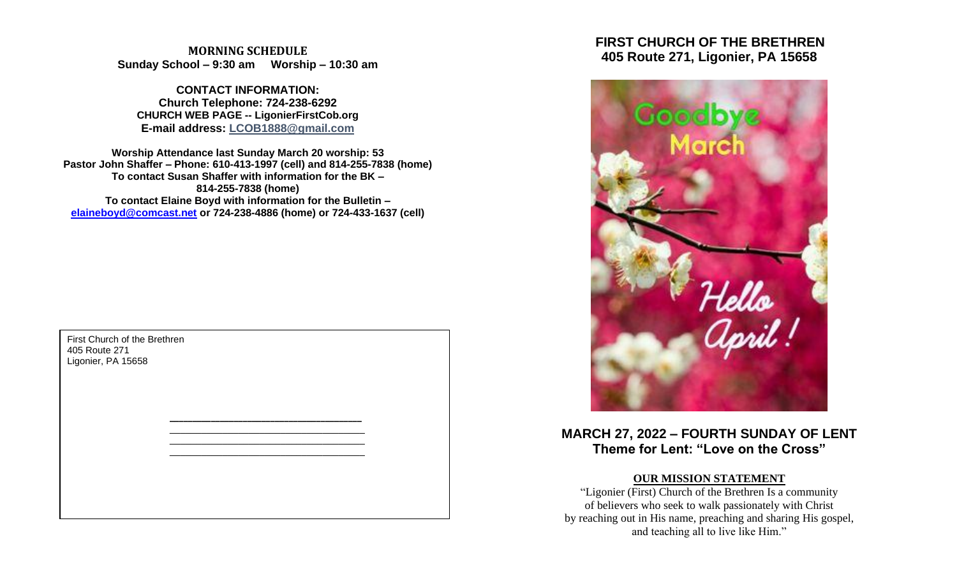**MORNING SCHEDULE Sunday School – 9:30 am Worship – 10:30 am**

**CONTACT INFORMATION: Church Telephone: 724-238-6292 CHURCH WEB PAGE -- LigonierFirstCob.org E-mail address: LCOB1888@gmail.com**

**Worship Attendance last Sunday March 20 worship: 53 Pastor John Shaffer – Phone: 610-413-1997 (cell) and 814-255-7838 (home) To contact Susan Shaffer with information for the BK – 814-255-7838 (home) To contact Elaine Boyd with information for the Bulletin – [elaineboyd@comcast.net](mailto:elaineboyd@comcast.net) or 724-238-4886 (home) or 724-433-1637 (cell)**

> **\_\_\_\_\_\_\_\_\_\_\_\_\_\_\_\_\_\_\_\_\_\_\_\_\_\_\_\_\_\_\_\_\_\_\_\_\_\_\_\_\_\_** \_\_\_\_\_\_\_\_\_\_\_\_\_\_\_\_\_\_\_\_\_\_\_\_\_\_\_\_\_\_\_\_\_\_\_\_\_ \_\_\_\_\_\_\_\_\_\_\_\_\_\_\_\_\_\_\_\_\_\_\_\_\_\_\_\_\_\_\_\_\_\_\_\_\_ \_\_\_\_\_\_\_\_\_\_\_\_\_\_\_\_\_\_\_\_\_\_\_\_\_\_\_\_\_\_\_\_\_\_\_\_\_

First Church of the Brethren 405 Route 271 Ligonier, PA 15658

 **FIRST CHURCH OF THE BRETHREN 405 Route 271, Ligonier, PA 15658**



**MARCH 27, 2022 – FOURTH SUNDAY OF LENT Theme for Lent: "Love on the Cross"**

# **OUR MISSION STATEMENT**

"Ligonier (First) Church of the Brethren Is a community of believers who seek to walk passionately with Christ by reaching out in His name, preaching and sharing His gospel, and teaching all to live like Him."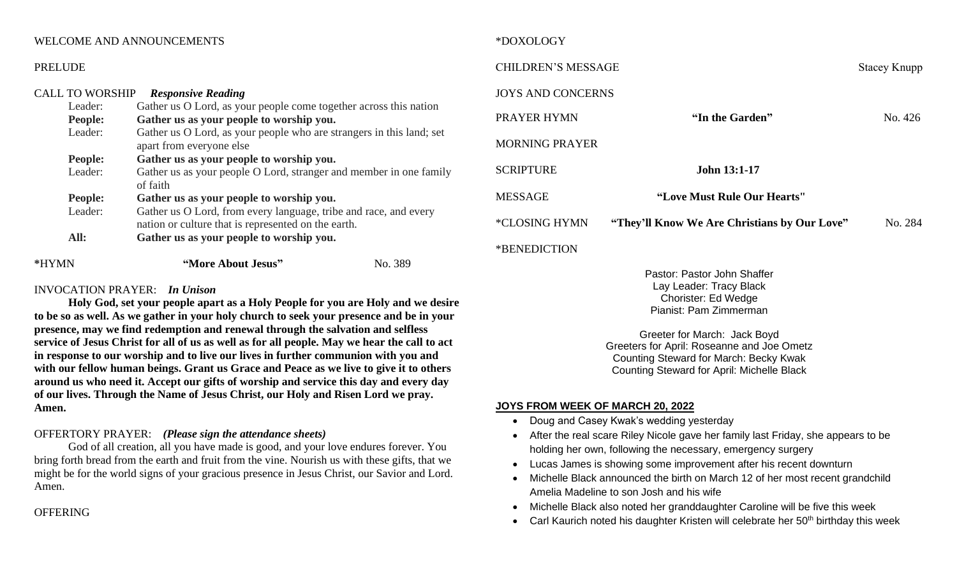# WELCOME AND ANNOUNCEMENTS

#### PRELUDE

| <b>CALL TO WORSHIP</b> | <b>Responsive Reading</b>                                                                                               |         |  |
|------------------------|-------------------------------------------------------------------------------------------------------------------------|---------|--|
| Leader:                | Gather us O Lord, as your people come together across this nation                                                       |         |  |
| People:                | Gather us as your people to worship you.                                                                                |         |  |
| Leader:                | Gather us O Lord, as your people who are strangers in this land; set<br>apart from everyone else                        |         |  |
| <b>People:</b>         | Gather us as your people to worship you.                                                                                |         |  |
| Leader:                | Gather us as your people O Lord, stranger and member in one family<br>of faith                                          |         |  |
| <b>People:</b>         | Gather us as your people to worship you.                                                                                |         |  |
| Leader:                | Gather us O Lord, from every language, tribe and race, and every<br>nation or culture that is represented on the earth. |         |  |
| All:                   | Gather us as your people to worship you.                                                                                |         |  |
| *HYMN                  | "More About Jesus"                                                                                                      | No. 389 |  |

# INVOCATION PRAYER: *In Unison*

**Holy God, set your people apart as a Holy People for you are Holy and we desire to be so as well. As we gather in your holy church to seek your presence and be in your presence, may we find redemption and renewal through the salvation and selfless service of Jesus Christ for all of us as well as for all people. May we hear the call to act in response to our worship and to live our lives in further communion with you and with our fellow human beings. Grant us Grace and Peace as we live to give it to others around us who need it. Accept our gifts of worship and service this day and every day of our lives. Through the Name of Jesus Christ, our Holy and Risen Lord we pray. Amen.**

# OFFERTORY PRAYER: *(Please sign the attendance sheets)*

God of all creation, all you have made is good, and your love endures forever. You bring forth bread from the earth and fruit from the vine. Nourish us with these gifts, that we might be for the world signs of your gracious presence in Jesus Christ, our Savior and Lord. Amen.

**OFFERING** 

# \*DOXOLOGY

| <b>CHILDREN'S MESSAGE</b>  |                                              | <b>Stacey Knupp</b> |
|----------------------------|----------------------------------------------|---------------------|
| <b>JOYS AND CONCERNS</b>   |                                              |                     |
| PRAYER HYMN                | "In the Garden"                              | No. 426             |
| <b>MORNING PRAYER</b>      |                                              |                     |
| <b>SCRIPTURE</b>           | <b>John 13:1-17</b>                          |                     |
| <b>MESSAGE</b>             | "Love Must Rule Our Hearts"                  |                     |
| *CLOSING HYMN              | "They'll Know We Are Christians by Our Love" | No. 284             |
| <i><b>*BENEDICTION</b></i> |                                              |                     |

Pastor: Pastor John Shaffer Lay Leader: Tracy Black Chorister: Ed Wedge Pianist: Pam Zimmerman

Greeter for March: Jack Boyd Greeters for April: Roseanne and Joe Ometz Counting Steward for March: Becky Kwak Counting Steward for April: Michelle Black

### **JOYS FROM WEEK OF MARCH 20, 2022**

- Doug and Casey Kwak's wedding yesterday
- After the real scare Riley Nicole gave her family last Friday, she appears to be holding her own, following the necessary, emergency surgery
- Lucas James is showing some improvement after his recent downturn
- Michelle Black announced the birth on March 12 of her most recent grandchild Amelia Madeline to son Josh and his wife
- Michelle Black also noted her granddaughter Caroline will be five this week
- Carl Kaurich noted his daughter Kristen will celebrate her  $50<sup>th</sup>$  birthday this week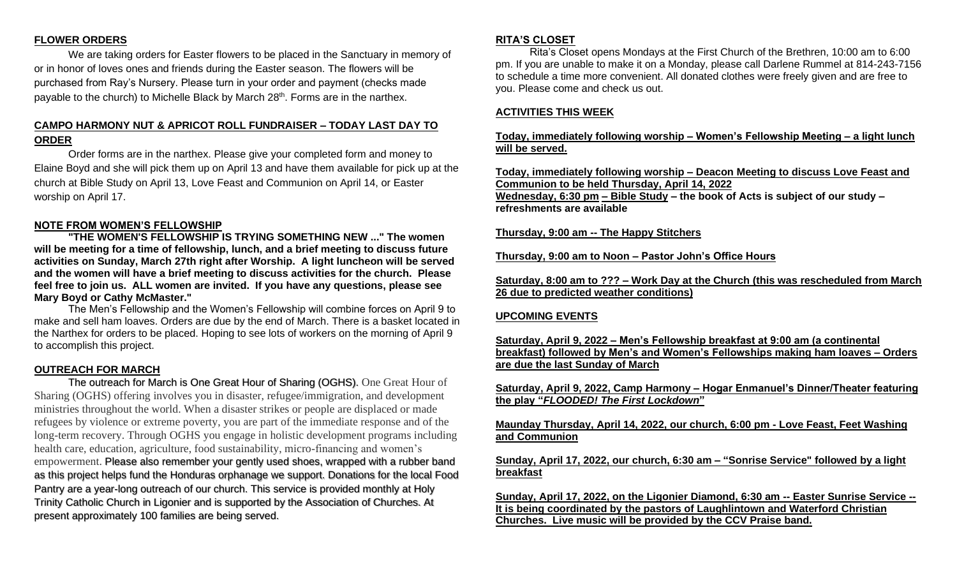# **FLOWER ORDERS**

We are taking orders for Easter flowers to be placed in the Sanctuary in memory of or in honor of loves ones and friends during the Easter season. The flowers will be purchased from Ray's Nursery. Please turn in your order and payment (checks made payable to the church) to Michelle Black by March 28<sup>th</sup>. Forms are in the narthex.

# **CAMPO HARMONY NUT & APRICOT ROLL FUNDRAISER – TODAY LAST DAY TO ORDER**

Order forms are in the narthex. Please give your completed form and money to Elaine Boyd and she will pick them up on April 13 and have them available for pick up at the church at Bible Study on April 13, Love Feast and Communion on April 14, or Easter worship on April 17.

## **NOTE FROM WOMEN'S FELLOWSHIP**

**"THE WOMEN'S FELLOWSHIP IS TRYING SOMETHING NEW ..." The women will be meeting for a time of fellowship, lunch, and a brief meeting to discuss future activities on Sunday, March 27th right after Worship. A light luncheon will be served and the women will have a brief meeting to discuss activities for the church. Please feel free to join us. ALL women are invited. If you have any questions, please see Mary Boyd or Cathy McMaster."**

The Men's Fellowship and the Women's Fellowship will combine forces on April 9 to make and sell ham loaves. Orders are due by the end of March. There is a basket located in the Narthex for orders to be placed. Hoping to see lots of workers on the morning of April 9 to accomplish this project.

### **OUTREACH FOR MARCH**

The outreach for March is One Great Hour of Sharing (OGHS). One Great Hour of Sharing (OGHS) offering involves you in disaster, refugee/immigration, and development ministries throughout the world. When a disaster strikes or people are displaced or made refugees by violence or extreme poverty, you are part of the immediate response and of the long-term recovery. Through OGHS you engage in holistic development programs including health care, education, agriculture, food sustainability, micro-financing and women's empowerment. Please also remember your gently used shoes, wrapped with a rubber band as this project helps fund the Honduras orphanage we support. Donations for the local Food Pantry are a year-long outreach of our church. This service is provided monthly at Holy Trinity Catholic Church in Ligonier and is supported by the Association of Churches. At present approximately 100 families are being served.

### **RITA'S CLOSET**

Rita's Closet opens Mondays at the First Church of the Brethren, 10:00 am to 6:00 pm. If you are unable to make it on a Monday, please call Darlene Rummel at 814-243-7156 to schedule a time more convenient. All donated clothes were freely given and are free to you. Please come and check us out.

### **ACTIVITIES THIS WEEK**

# **Today, immediately following worship – Women's Fellowship Meeting – a light lunch will be served.**

**Today, immediately following worship – Deacon Meeting to discuss Love Feast and Communion to be held Thursday, April 14, 2022**

**Wednesday, 6:30 pm – Bible Study – the book of Acts is subject of our study – refreshments are available**

## **Thursday, 9:00 am -- The Happy Stitchers**

**Thursday, 9:00 am to Noon – Pastor John's Office Hours**

**Saturday, 8:00 am to ??? – Work Day at the Church (this was rescheduled from March 26 due to predicted weather conditions)**

## **UPCOMING EVENTS**

**Saturday, April 9, 2022 – Men's Fellowship breakfast at 9:00 am (a continental breakfast) followed by Men's and Women's Fellowships making ham loaves – Orders are due the last Sunday of March**

**Saturday, April 9, 2022, Camp Harmony – Hogar Enmanuel's Dinner/Theater featuring the play "***FLOODED! The First Lockdown***"**

**Maunday Thursday, April 14, 2022, our church, 6:00 pm - Love Feast, Feet Washing and Communion** 

**Sunday, April 17, 2022, our church, 6:30 am – "Sonrise Service" followed by a light breakfast**

**Sunday, April 17, 2022, on the Ligonier Diamond, 6:30 am -- Easter Sunrise Service -- It is being coordinated by the pastors of Laughlintown and Waterford Christian Churches. Live music will be provided by the CCV Praise band.**